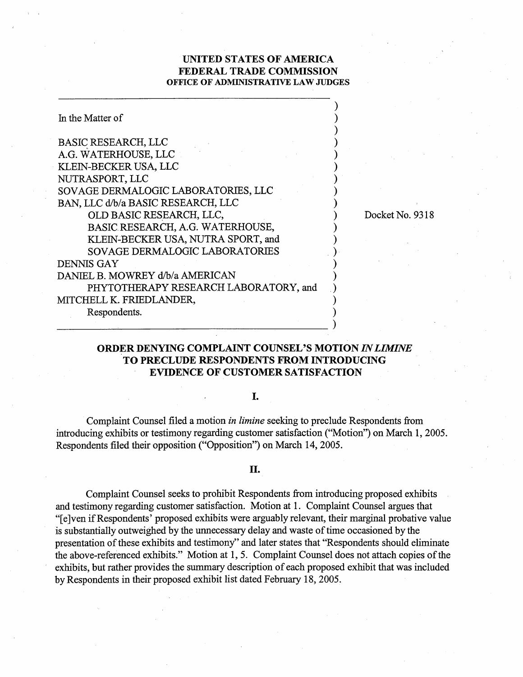## **UNITED STATES OF AMERICA FEDERAL TRADE COMMISSION OFFICE OF ADMINISTRATIVE LAW JUDGES**

| In the Matter of                      |                 |
|---------------------------------------|-----------------|
| <b>BASIC RESEARCH, LLC</b>            |                 |
| A.G. WATERHOUSE, LLC                  |                 |
| KLEIN-BECKER USA, LLC                 |                 |
| NUTRASPORT, LLC                       |                 |
| SOVAGE DERMALOGIC LABORATORIES, LLC   |                 |
| BAN, LLC d/b/a BASIC RESEARCH, LLC    |                 |
| OLD BASIC RESEARCH, LLC,              | Docket No. 9318 |
| BASIC RESEARCH, A.G. WATERHOUSE,      |                 |
| KLEIN-BECKER USA, NUTRA SPORT, and    |                 |
| SOVAGE DERMALOGIC LABORATORIES        |                 |
| <b>DENNIS GAY</b>                     |                 |
| DANIEL B. MOWREY d/b/a AMERICAN       |                 |
| PHYTOTHERAPY RESEARCH LABORATORY, and |                 |
| MITCHELL K. FRIEDLANDER,              |                 |
| Respondents.                          |                 |
|                                       |                 |

# **ORDER DENYING COMPLAINT COUNSEL'S MOTION IN** *LIMINE*  **TO PRECLUDE RESPONDENTS FROM INTRODUCING EVIDENCE OF CUSTOMER SATISFACTION**

## I.

Complaint Counsel filed a motion *in limine* seeking to preclude Respondents fiom introducing exhibits or testimony regarding customer satisfaction ("Motion") on March 1, 2005. Respondents filed their opposition ("Opposition") on March 14,2005.

### II.

Complaint Counsel seeks to prohibit Respondents from introducing proposed exhibits and testimony regarding customer satisfaction. Motion at 1. Complaint Counsel argues that "[elven if Respondents' proposed exhibits were arguably relevant, their marginal probative value is substantially outweighed by the unnecessary delay and waste of time occasioned by the presentation of these exhibits and testimony" and later states that "Respondents should eliminate the above-referenced exhibits." Motion at 1, 5. Complaint Counsel does not attach copies of the exhibits, but rather provides the summary description of each proposed exhibit that was included by Respondents in their proposed exhibit list dated February 18,2005.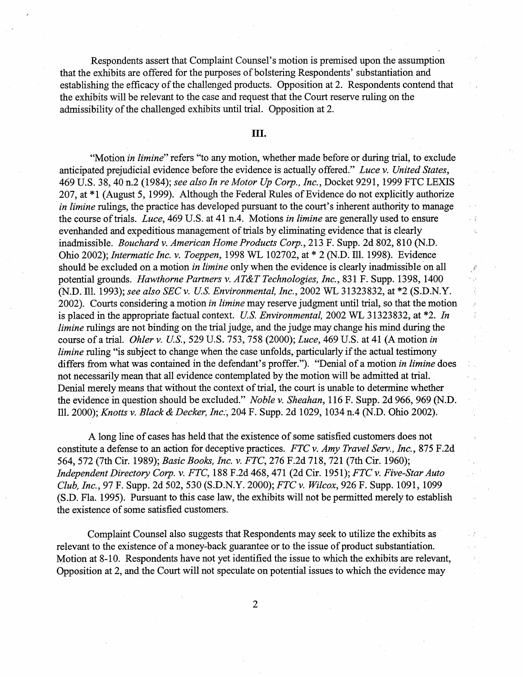Respondents assert that Complaint Counsel's motion is premised upon the assumption that the exhibits are offered for the purposes of bolstering Respondents' substantiation and establishing the efficacy of the challenged products. Opposition at 2. Respondents contend that the exhibits will be relevant to the case and request that the Court reserve ruling on the admissibility of the challenged exhibits until trial. Opposition at 2.

### Ш.

"Motion *in limine*" refers "to any motion, whether made before or during trial, to exclude anticipated prejudicial evidence before the evidence is actually offered." Luce v. United States, 469 U.S. 38,40 n.2 (1984); see also In re Motor Up Corp., Inc., Docket 9291, 1999 FTC LEXIS 207, at \*1 (August 5, 1999). Although the Federal Rules of Evidence do not explicitly authorize in *limine* rulings, the practice has developed pursuant to the court's inherent authority to manage the course of trials. Luce, 469 U.S. at 41 n.4. Motions in limine are generally used to ensure evenhanded and expeditious management of trials by eliminating evidence that is clearly inadmissible. Bouchard v. American Home Products Corp., 213 F. Supp. 2d 802,810 (N.D. Ohio 2002); Intermatic Inc. v. Toeppen, 1998 WL 102702, at \* 2 (N.D. Ill. 1998). Evidence should be excluded on a motion *in limine* only when the evidence is clearly inadmissible on all potential grounds. Hawthorne Partners v. AT&T Technologies, Inc., 831 F. Supp. 1398, 1400 (N.D. Ill. 1993); see also SEC v. US. Environmental, Inc., 2002 WL 3 1323832, at \*2 (S.D.N.Y. 2002). Courts considering a motion in limine may reserve judgment until trial, so that the motion is placed in the appropriate factual context. U.S. Environmental,  $2002$  WL 31323832, at  $*2$ . In limine rulings are not binding on the trial judge, and the judge may change his mind during the course of a trial. *Ohler v. U.S.*, 529 U.S. 753, 758 (2000); *Luce*, 469 U.S. at 41 (A motion in limine ruling "is subject to change when the case unfolds, particularly if the actual testimony differs from what was contained in the defendant's proffer."). "Denial of a motion in limine does not necessarily mean that all evidence contemplated by the motion will be admitted at trial. Denial merely means that without the context of trial, the court is unable to determine whether the evidence in question should be excluded." Noble v. Sheahan, 116 F. Supp. 2d 966, 969 (N.D. Ill. 2000); Knotts v. Black & Decker, Inc., 204 F. Supp. 2d 1029, 1034 n.4 (N.D. Ohio 2002).

A long line of cases has held that the existence of some satisfied customers does not constitute a defense to an action for deceptive practices. FTC v. Amy Travel Serv., Inc., 875 F.2d 564, 572 (7th Cir. 1989); Basic Books, Inc. v. FTC, 276 F.2d 718, 721 (7th Cir. 1960); Independent Directory Corp. v. FTC, 188 F.2d 468, 471 (2d Cir. 1951); FTC v. Five-Star Auto Club, Inc., 97 F. Supp. 2d 502,530 (S.D.N.Y. 2000); *FTC* v. Wilcox, 926 F. Supp. 1091, 1099 (S.D. Fla. 1995). Pursuant to this case law, the exhibits will not be permitted merely to establish the existence of some satisfied customers.

Complaint Counsel also suggests that Respondents may seek to utilize the exhibits as relevant to the existence of a money-back guarantee or to the issue of product substantiation. Motion at 8-10. Respondents have not yet identified the issue to which the exhibits are relevant, Opposition at 2, and the Court will not speculate on potential issues to which the evidence may

 $\overline{2}$